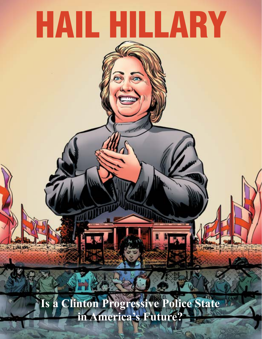# HAIL HILLARY

**Is a Clinton Progressive Police State in America's Future?**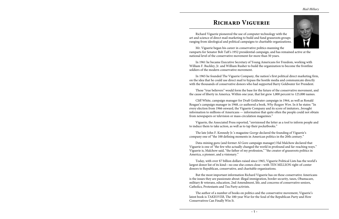*Hail Hillary*



# **Richard Viguerie**

Richard Viguerie pioneered the use of computer technology with the art and science of direct mail marketing to build and fund grassroots groups ranging from ideological and political campaigns to charitable organizations.

Mr. Viguerie began his career in conservative politics manning the ramparts for Senator Bob Taft's 1952 presidential campaign, and has remained active at the national level of the conservative movement for more than 50 years.

In 1961 he became Executive Secretary of Young Americans for Freedom, working with William F. Buckley, Jr. and William Rusher to build the organization to become the frontline soldiers of the modern conservative movement.

In 1965 he founded The Viguerie Company, the nation's first political direct marketing firm, on the idea that he could use direct mail to bypass the hostile media and communicate directly with the thousands of conservative donors who had supported Barry Goldwater for President.

These "true believers" would form the base for the future of the conservative movement, and the cause of liberty in America. Within one year, that list grew 1,000 percent to 125,000 names.

Cliff White, campaign manager for Draft Goldwater campaign in 1964, as well as Ronald Reagan's campaign manager in 1968, co-authored a book, *Why Reagan Won*. In it he states: "In every election from 1966 onward, the Viguerie Company and its score of imitators...brought information to millions of Americans — information that quite often the people could not obtain from newspapers or television or mass-circulation magazines."

Viguerie, the Associated Press reported, "envisioned the letter as a tool to inform people and to induce them to take action, as well as to tap their pocketbooks."

The late John F. Kennedy Jr.'s magazine *George* declared the founding of Viguerie's company one of "the 100 defining moments in American politics in the 20th century."

Data-mining guru (and former Al Gore campaign manager) Hal Malchow declared that Viguerie is one of "the few who actually changed the world in profound and far-reaching ways." Viguerie is, Malchow said, "the father of my profession," "the creator of grassroots politics in America, a pioneer, and a visionary."

Today, with over \$7 billion dollars raised since 1965, Viguerie Political Lists has the world's largest donor list of its kind—no one else comes close—with TEN MILLION right-of-center donors to Republican, conservative, and charitable organizations.

But the most important information Richard Viguerie has on these conservative Americans is the issues they are passionate about: illegal immigration, border security, taxes, Obamacare, military & veterans, education, 2nd Amendment, life, and concerns of conservative seniors, Catholics, Protestants and Tea Party activists.

The author of a number of books on politics and the conservative movement, Viguerie's latest book is *TAKEOVER*, The 100-year War for the Soul of the Republican Party and How Conservatives Can Finally Win It.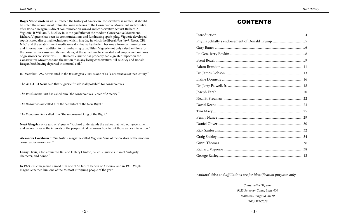**Roger Stone wrote in 2012:** "When the history of American Conservatives is written, it should be noted the second most influential man in terms of the Conservative Movement and country, after Ronald Reagan, is direct communication wizard and conservative activist Richard A. Viguerie. If William F. Buckley Jr. is the godfather of the modern Conservative Movement, Richard Viguerie has been its communications and fundraising spark-plug. Viguerie developed sophisticated direct mail techniques, which, in a day in which the liberal *New York Times*, CBS, NBC, and the establishment media were dominated by the left, became a form communication and information in addition to its fundraising capabilities. Viguerie not only raised millions for the conservative cause and its candidates, at the same time he educated and empowered millions of grassroots conservatives . . . . Richard Viguerie has probably had a greater impact on the Conservative Movement and the nation than any living conservative; Bill Buckley and Ronald Reagan both having departed this mortal coil."

#### *Authors' titles and affiliations are for identification purposes only.*

In December 1999, he was cited in the *Washington Times* as one of 13 "Conservatives of the Century."

The **AFL-CIO News** said that Viguerie "made it all possible" for conservatives.

*The Washington Post* has called him "the conservatives' Voice of America."

*The Baltimore Sun* called him the "architect of the New Right."

*The Edmonton Sun* called him "the uncrowned king of the Right."

**Newt Gingrich** once said of Viguerie: "Richard understands the values that help our government and economy serve the interests of the people. And he knows how to put those values into action."

**Alexander Cockburn** of *The Nation* magazine called Viguerie "one of the creators of the modern conservative movement."

**Lanny Davis**, a top adviser to Bill and Hillary Clinton, called Viguerie a man of "integrity, character, and honor."

In 1979 *Time* magazine named him one of 50 future leaders of America, and in 1981 *People magazine* named him one of the 25 most intriguing people of the year.

*ConservativeHQ.com 9625 Surveyor Court, Suite 400 Manassas, Virginia 20110 (703) 392-7676*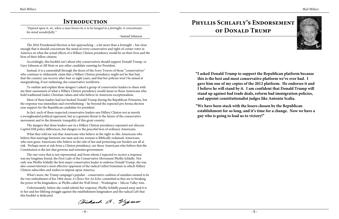- 4 -



## **Introduction**

*"Depend upon it, sir, when a man knows he is to be hanged in a fortnight, it concentrates his mind wonderfully."*

- Samuel Johnson

The 2016 Presidential Election is fast approaching – a bit more than a fortnight – but close enough that it should concentrate the mind of every conservative and right-of-center voter in America on what the actual effects of a Hillary Clinton presidency would be on their lives and the lives of their fellow citizens.

Accordingly, this booklet isn't about why conservatives should support Donald Trump, or Gary Johnson or Jill Stein or any other candidate running for President.

Instead, it is a cannonball through the doors of the Ivory Towers of those "conservatives" who continue to obdurately claim that a Hillary Clinton presidency might not be that bad, that the country can recover after four or eight years, and that her policies won't be aimed at marginalizing, if not outlawing, the conservative worldview.

To outline and explain these dangers I asked a group of conservative leaders to share with me their assessment of what a Hillary Clinton presidency would mean to those Americans who hold traditional Judeo-Christian values and who believe in American exceptionalism.

Most of these leaders had not backed Donald Trump during the Republican Primaries, but the response was immediate and overwhelming – far beyond the expected pro forma election year support for the Republican candidate for president.

In fact, each of these respected conservative leaders saw Hillary Clinton not as merely a wrongheaded political opponent, but as a genuine threat to the future of the conservative movement and to the domestic tranquility of this great country.

The dangers that these leaders saw in a Hillary Clinton presidency represent not obscure Capitol Hill policy differences, but dangers to the peaceful lives of ordinary Americans.

What they told me was that Americans who believe in the right-to-life; Americans who believe that marriage between one man and one woman is Biblically ordained; Americans who own guns; Americans who believe in the rule of law and protecting our borders are all at risk. Perhaps most at risk from a Clinton presidency, are those Americans who believe that the Constitution is the law that governs and restrains government.

The one voice that is not represented, and from whom I expected to receive a response was my longtime friend, the First Lady of the Conservative Movement Phyllis Schlafly. Not only was Phyllis Schlafly the first major conservative leader to endorse Donald Trump, she was also conservativism's most effective opponent of the radical Leftist Feminism to which Hillary Clinton subscribes and wishes to impose upon America.

What's more, the Trump campaign's populist – conservative coalition of outsiders seemed to be the very embodiment of her 1964 classic *A Choice Not An Echo*, committed as they are to breaking the power of the kingmakers, as Phyllis called the Wall Street – Washington – Silicon Valley Axis.

Unfortunately, before she could submit her response, Phyllis Schlafly passed away and it is to her and her lifelong struggle against the establishment kingmakers and the radical Left that this booklet is dedicated.

Dichard A. Vigno

# **Phyllis Schlafly's Endorsement of Donald Trump**

**"I asked Donald Trump to support the Republican platform because this is the best and most conservative platform we've ever had. I gave him one of my copies of the 2012 platform. He endorses it and I believe he will stand by it. I am confident that Donald Trump will stand up against bad trade deals, reform bad immigration policies, and appoint constitutionalist judges like Antonin Scalia.**

**"We have been stuck with the losers chosen by the Republican establishment for so long, and it's time for a change. Now we have a guy who is going to lead us to victory!"**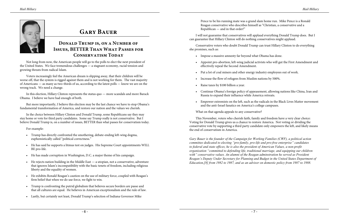

## **Donald Trump is, on a Number of Issues, BETTER Than What Passes for**  CONSERVATISM TODAY

# **Gary Bauer**

Not long from now, the American people will go to the polls to elect the next president of the United States. We face tremendous challenges — a stagnant economy, racial tension and growing threats from radical Islam.

Voters increasingly feel the American dream is slipping away, that their children will be worse off, that the system is rigged against them and is not working for them. The vast majority of Americans — as many as two-thirds of us, according to the latest polls — know we are on the wrong track. We need a change.

In this election, Hillary Clinton represents the status quo — more scandals and more Barack Obama. I believe we have had enough of both.

But more importantly, I believe this election may be the last chance we have to stop Obama's fundamental transformation of America, and restore our nation and the values we cherish.

In the choice between Hillary Clinton and Donald Trump, some Republicans say they may stay home or vote for third party candidates. Some say Trump really is not conservative. But I believe Donald Trump is, on a number of issues, BETTER than what passes for conservatism today.

For example:

- Trump has directly confronted the smothering, debate-ending left-wing dogma, euphemistically called "political correctness."
- He has said he supports a litmus test on judges. His Supreme Court appointments WILL BE pro-life.
- He has made corruption in Washington, D.C. a major theme of his campaign.
- He rejects nation building in the Middle East a utopian, not a conservative, adventure that ignores Islam's incompatibility with the basic tenets of freedom, including religious liberty and the equality of women.
- He exhibits Ronald Reagan's caution on the use of military force, coupled with Reagan's firm belief that when we do use force, we fight to win.
- Trump is confronting the putrid globalism that believes secure borders are passe and that all cultures are equal. He believes in American exceptionalism and the rule of law.
- Lastly, but certainly not least, Donald Trump's selection of Indiana Governor Mike

Pence to be his running mate was a grand slam home run. Mike Pence is a Ronald Reagan conservative who describes himself as "Christian, a conservative and a Republican — and in that order!"

I will not guarantee that conservatives will applaud everything Donald Trump does. But I can guarantee that Hillary Clinton will do nothing conservatives might applaud.

Conservative voters who doubt Donald Trump can trust Hillary Clinton to do everything she promises, such as:

• Appoint pro-abortion, left-wing judicial activists who will gut the First Amendment and

- Impose a massive amnesty far beyond what Obama has done.
- effectively repeal the Second Amendment.
- Put a lot of coal miners and other energy industry employees out of work.
- Increase the flow of refugees from Muslim nations by 500%.
- Raise taxes by \$100 billion a year.
- Russia to expand their influence while America retreats.
- and the anti-Israel fanatics on America's college campuses.

• Continue Obama's foreign policy of appeasement, allowing nations like China, Iran and

• Empower extremists on the left, such as the radicals in the Black Lives Matter movement

What on that agenda appeals to any conservative?

This November, voters who cherish faith, family and freedom have a very clear choice: Voting for Donald Trump gives us a chance to restore America. Not voting or dividing the conservative vote by supporting a third party candidate only empowers the left, and likely means the end of conservatism in America.

*Gary Bauer is the founder of the Campaign for Working Families (CWF), a political action committee dedicated to electing "pro-family, pro-life and pro-free enterprise" candidates to federal and state offices, he is also the president of American Values, a non-profit organization "committed to defending life, traditional marriage, and equipping our children with" conservative values. An alumni of the Reagan adminstration he served as President Reagan's Deputy Under Secretary for Planning and Budget in the United States Department of Education,[8] from 1982 to 1987, and as an advisor on domestic policy from 1987 to 1988.*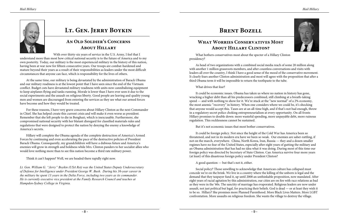



# **Lt. Gen. Jerry Boykin**

### **An Old Soldier's Concerns About Hillary**

With over thirty-six years of service in the U.S. Army, I feel that I understand more than most how critical national security is to the future of America and to my own posterity. Today, our military is the most experienced military in the history of this nation, having been at war now for fifteen consecutive years. Our troops are combat-hardened and mature beyond their years as a result of their responsibilities as leaders under the most difficult circumstances that anyone can face, which is responsibility for the lives of others.

At the same time, our military is being devastated by the administration of Barack Obama and our military readiness is at the lowest point that I have seen since the end of the Vietnam conflict. Budget cuts have devastated military readiness with units now cannibalizing equipment to keep airplanes flying and tanks running. Morale is lower than I have ever seen it due to the social experiments and the assault on religious liberty. Good people are leaving and quality young men and women are discouraged from entering the services as they see what our armed forces have become and how they would be treated.

For these reasons, I have very grave concerns about Hillary Clinton as the next Commander in Chief. She has helped create this current crisis and will make it even worse as president. Remember that she left people to die in Benghazi, which is inexcusable. Furthermore, she compromised national security with her blatant disregard for classified materials rules and regulations that were designed to protect the nation by denying the enemy a knowledge of America's secrets.

Hillary will complete the Obama agenda of the complete destruction of America's Armed Forces by continuing and even accelerating the pace of the destructive policies of President Barack Obama. Consequently, my grandchildren will have a dubious future and America's enemies will grow in strength and boldness while Mrs. Clinton panders to her socialist allies who would love nothing more than to see this nation become a third rate military power.

Think it can't happen? Well, we are headed there rapidly right now.

*Lt. Gen. William G. "Jerry" Boykin (USA Ret) was the United States Deputy Undersecretary of Defense for Intelligence under President George W. Bush. During his 36-year career in the military he spent 13 years in the Delta Force, including two years as its commander. He is currently executive vice president at the Family Research Council and teaches at Hampden-Sydney College in Virginia.*

## **BRENT BOZELL**

## **What Worries Conservatives Most About Hillary Clinton?**

What bothers conservatives most about the specter of a Hillary Clinton presidency?

As head of two organizations with a combined social media reach of some 20 million along with another 1 million grassroots members, and after countless conversations and visits with leaders all over the country, I think I have a good sense of the mood of the conservative movement. It clearly fears another Clinton administration and most will agree with the proposition that after a third Obama term it will be impossible to return the toothpaste to the tube.

What drives that fear?

It could be economic issues. Obama has taken us where no nation in history has gone, wracking a higher debt than all his predecessors combined, still climbing at a breath-taking speed — and with nothing to show for it. We're stuck at the "new normal" of a 2% economy, the most anemic "recovery" in history. When one considers where we could be, it's shocking that anyone would accept this. Taxes are at an all-time high, and if that's not bad enough, throw in a regulatory secret police choking entrepreneurialism at every opportunity. On all fronts Hillary promises to double down: more wasteful spending, more unpayable debt, more ruinous regulation. This recklessness cannot be sustained.

But it's not economic issues that most bother conservatives.

It could be foreign policy. Not since the height of the Cold War has America been so threatened, and not in its modern era have we been so weak. Our enemies are saber-rattling, if not on the march, everywhere. China, North Korea, Iran, Russia — they and a dozen smaller regimes have no fear of the United States, especially after eight years of gutting the military and an Obama administration that has had no idea what it was doing. During most of this time our foreign policy was directed by Secretary of State Clinton. Can America survive four more years (at least) of this disastrous foreign policy under President Clinton?

A good question — but that's not it, either.

Social policy? Those unwilling to acknowledge that American culture has collapsed must concede we're on the brink. We live in a country where the killing of the unborn is legal and the demand that they taxpayer fund it, up until 2008 an unthinkable proposition, now mandated. After eight years of racial agitation by this administration, our cities are on fire with race relations as bad as they were in the '60s. The sanctity of marriage has evaporated. Religious leaders are now under assault, not just political but legal, for practicing their beliefs. God is dead — or at least they wish it to be so. Hillary? She promises more Planned Parenthood. More Black Lives Matters. More LGBT confrontation. More assaults on religious freedom. She wants the village to destroy the village.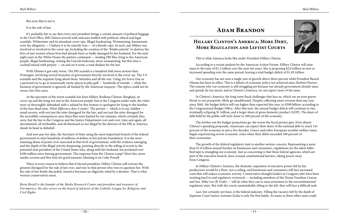

But even that is not it.

It is the rule of law.

It's probably fair to say that every new president brings a certain amount of political baggage to the Oval Office. Bill Clinton arrived with suitcases stuffed with political, ethical and legal scandals. Whitewater and its attendant cover-ups. Illegal fundraising. Womanizing, harassment, even the allegation — I believe it to be entirely true — of a bloody rape. In each case Hillary was involved or involved in the cover-up, including the creation of the "bimbo patrols" to destroy the lives of any women whose lives had already been so badly damaged by her husband. For the next eight years at the White House the pattern continued — stealing FBI files, lying to the American people, illegal fundraising, renting the Lincoln bedroom, more womanizing, but this time a cocktail mixed with perjury — on and on it went, a total disdain for the law.

With Obama it got only worse. The IRS scandal is a hundred-fold more serious than Watergate, involving several branches of government directly involved in the cover-up. The VA scandals and the requisite lying about them. Solyndra and all the rest. Using Air Force One as a personal toy to go to luxuriously exotic places to play golf — hundreds of rounds — while the business of government is ignored, all funded by the American taxpayer. The optics could not be worse, but who cares.

## **Hillary Clinton's America: More Debt, MORE REGULATION AND LEFTIST COURTS**

At the epicenter of the worst scandals has been Hillary Rodham Clinton. Benghazi, its cover-up and the lying not just to the American people, but to the Congress under oath, the video story so thoroughly debunked with a refusal by this woman to apologize for lying to the families of the four dead men. *What difference does it make?* The private — which is to say, hidden email servers, with not just the utter disregard for the law, and not just the utter disregard for the incredible consequences once these files were hacked by our enemies, which certainly they were, but the lies to the Congress and the Justice Department over and over, time and again, all documented, all irrefutable, and all dismissed as not illegal by the director of the FBI as America shook its head in disbelief.

And now pay-for-play, the Secretary of State using the most important branch of the federal government to steer hundreds of millions of dollars to her private foundation. It is the most stunning abuse of power ever exercised at that level of government, with the evidence emerging and the depth of the illegal activity deepening, pointing directly to the selling of access to the potential next president of the United States who, along with her husband, has pocketed over \$100 million since leaving government. The response from the Clinton camp? More lies, more smoke-screens and this time for good measure, blaming it on Colin Powell.

There is every reason to believe that if elected president, Hillary Clinton will oversee the greatest disregard for the rule of law ever, and woe to that person who rises to question her. With the rule of law firmly discarded, America becomes an oligarchy ruled by a dictator. That is what worries conservatives most.

*Brent Bozell is the founder of the Media Research Center and president and treasurer of ForAmerica. He also serves on the board of advisors of the Catholic League for Religious and Civil Rights.*

# **Adam Brandon**

This is what America looks like under President Hillary Clinton.

According to a recent analysis by the American Action Forum, Hillary Clinton will raise taxes to the tune of \$1.3 trillion over the next ten years. She is proposing \$2.8 trillion in new or increased spending over the same period, leaving a total budget deficit of \$1.49 trillion.

Our economy has not seen a single year of growth above three percent while President Barack Obama has been in office. This is a failure of economic policy not achieved since Herbert Hoover. The reasons why our economy is still struggling are because our already government already taxes and spends far too much, and in Clinton's America, we can expect more of the same.

In Clinton's America, the long-term fiscal challenges that face us, which are an even graver threat to our prosperity, likely go unaddressed. Despite collecting more revenue than any year since 2001, the budget deficit will rise higher than expected this year, to \$590 billion, according to the Congressional Budget Office. After this year, the annual budget deficit will continue to rise, eventually eclipsing \$1 trillion, and a larger share of gross domestic product (GDP). The share of debt held by the public will inch closer to 100 percent of the economy.

The further out the budget projections go, the worse the fiscal picture gets. Even absent Clinton's spending proposals, Americans can expect their share of the national debt to reach 141 percent of the economy in just a few decades. Greece and other European socialist welfare states began experiencing severe economic crises when their debts exceeded 100 percent of their economies.

The growth of the federal regulatory state is another serious concern. Representing a more than \$1.8 trillion annual burden on businesses and consumers, regulations are the silent killer. Red tape is strangling our economy. Just as concerning is that these federal agencies, which are part of the executive branch, have crossed constitutional barriers, taking power away from Congress.

In Hillary Clinton's America, the dramatic expansion of executive power left by her predecessor would be a floor, not a ceiling, and businesses and consumers will face increased costs that will reduce economic activity. Conservative thought leaders in Congress who have been working hard to end regulatory overreach — including members of the House Freedom Caucus and Sen. Mike Lee (R-Utah) — will do what they can to raise awareness to the unconstitutional regulatory state. But with the courts unmistakably tilting to the left, they will face a difficult task.

Last, but certainly not least, is the federal judiciary. Filling the vacancy left by the death of Supreme Court Justice Antonin Scalia is only the first battle. As many as three other seats could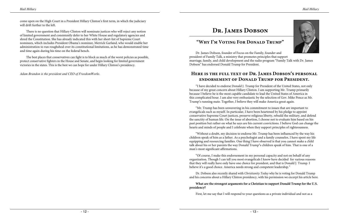

come open on the High Court in a President Hillary Clinton's first term, in which the judiciary will drift further to the left.

There is no question that Hillary Clinton will nominate justices who will reject any notion of limited government and consistently defer to her White House and regulatory agencies and shred the Constitution. She has already indicated this with her short-list of Supreme Court nominees, which includes President Obama's nominee, Merrick Garland, who would enable her administration to run roughshod over its constitutional limitations, as he has demonstrated time and time again during his time on the federal bench.

The best places that conservatives can fight is to block as much of the worst policies as possible, protect conservative fighters in the House and Senate, and begin looking for limited government victories in the states. This is the best we can hope for under Hillary Clinton's presidency.

*Adam Brandon is the president and CEO of FreedomWorks.* 

# **Dr. James Dobson**

### **"Why I'm Voting For Donald Trump"**

Dr. James Dobson, founder of Focus on the Family, founder and president of Family Talk, a ministry that promotes principles that support marriage, family, and child development and the radio program "Family Talk with Dr. James Dobson" has endorsed Donald Trump for President.

## **Here is the full text of Dr. James Dobson's personal endorsement of Donald Trump for President.**

"I have decided to endorse Donald J. Trump for President of the United States, not only because of my great concern about Hillary Clinton. I am supporting Mr. Trump primarily because I believe he is the most capable candidate to lead the United States of America in this complicated hour. I am also very enthusiastic by the selection of Gov. Mike Pence as Mr. Trump's running mate. Together, I believe they will make America great again.

"Mr. Trump has been unwavering in his commitment to issues that are important to evangelicals such as myself. In particular, I have been heartened by his pledge to appoint conservative Supreme Court justices, preserve religious liberty, rebuild the military, and defend the sanctity of human life. On the issue of abortion, I choose not to evaluate him based on his past position but rather on what he says are his current convictions. I believe God can change the hearts and minds of people and I celebrate when they support principles of righteousness.

"Without a doubt, my decision to endorse Mr. Trump has been influenced by the way his children speak of him as a father. As a psychologist and a family counselor, I have spent my life equipping and resourcing families. One thing I have observed is that you cannot make a child talk about his or her parents the way Donald Trump<sup>1</sup>s children speak of him. That is one of a man's most significant affirmations.

"Of course, I make this endorsement in my personal capacity and not on behalf of any organization. Though I can tell you most evangelicals I know have decided for various reasons that they will really have only have one choice for president, and that is Donald J. Trump. I believe it's a good choice. America needs strong and competent leadership."

Dr. Dobson also recently shared with *Christianity Today* why he is voting for Donald Trump and his concerns about a Hillary Clinton presidency, with his permission we excerpt his article here.

#### **What are the strongest arguments for a Christian to support Donald Trump for the U.S.**

**presidency?**

First, let me say that I will respond to your questions as a private individual and not as a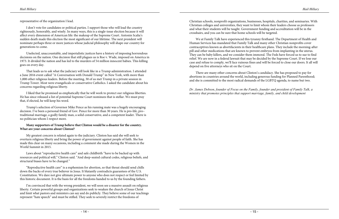representative of the organization I lead.

I don't vote for candidates or political parties. I support those who will lead the country righteously, honorably, and wisely. In many ways, this is a single-issue election because it will affect every dimension of American life: the makeup of the Supreme Court. Antonin Scalia's sudden death made this election the most significant of our lifetime. The next president will nominate perhaps three or more justices whose judicial philosophy will shape our country for generations to come.

Unelected, unaccountable, and imperialistic justices have a history of imposing horrendous decisions on the nation. One decision that still plagues us is Roe v. Wade, imposed on America in 1973. It divided the nation and has led to the murders of 54 million innocent babies. This killing goes on every day.

That leads us to ask what the judiciary will look like in a Trump administration. I attended a June 2016 event called "A Conversation with Donald Trump" in New York, with more than 1,000 other religious leaders. Before the meeting, 30 of us met Trump in a private session in Trump Tower. Most were evangelicals or conservative Catholics. I asked the candidate about his concerns regarding religious liberty.

I liked that he promised us emphatically that he will work to protect our religious liberties. He has since released a list of potential Supreme Court nominees that is stellar. We must pray that, if elected, he will keep his word.

Trump's selection of Governor Mike Pence as his running mate was a hugely encouraging decision. I've been a personal friend of Gov. Pence for more than 30 years. He is pro-life, pro– traditional marriage, a godly family man, a solid conservative, and a competent leader. There is no politician whom I respect more.

#### **Many supporters of Trump believe that Clinton would be a disaster for the country. What are your concerns about Clinton?**

My greatest concern is related again to the judiciary. Clinton has said she will seek to overturn religious liberty and bring the power of government against people of faith. She has made this clear on many occasions, including a comment she made during the Women in the World Summit in 2015.

Laws about "reproductive health care" and safe childbirth "have to be backed up with resources and political will," Clinton said. "And deep-seated cultural codes, religious beliefs, and structural biases have to be changed."

"Reproductive health care" is a euphemism for abortion, so that threat should send chills down the backs of every true believer in Jesus. It blatantly contradicts guarantees of the U.S. Constitution. We dare not give ultimate power to anyone who does not respect or feel limited by this historic document. It is the basis for all the freedoms handed to us by the founding fathers.

I'm convinced that with the wrong president, we will soon see a massive assault on religious liberty. Certain powerful groups and organizations seek to weaken the church of Jesus Christ and limit what pastors and ministers can say and do publicly. They believe some of our teachings represent "hate speech" and must be stifled. They seek to severely restrict the freedoms of

Christian schools, nonprofit organizations, businesses, hospitals, charities, and seminaries. With Christian colleges and universities, they want to limit whom their leaders choose as professors and what their students will be taught. Government funding and accreditation will be in the crosshairs, and you can be sure that home schools will be targeted.

We at Family Talk have experienced this tyranny firsthand. The Department of Health and Human Services has mandated that Family Talk and many other Christian nonprofits cover contraceptives known as abortifacients in their healthcare plans. They include the morning-after pill and other medications that are known to prevent embryos from implanting in the uterus. They can be baby killers, and we consider them immoral. The Feds have forced us to sue to find relief. We are now in a federal lawsuit that may be decided by the Supreme Court. If we lose our case and refuse to comply, we'll face ruinous fines and will be forced to close our doors. It all will depend on five attorneys who sit on the Court.

There are many other concerns about Clinton's candidacy. She has proposed to pay for abortions in countries around the world, including generous funding for Planned Parenthood; and she is committed to the most radical demands of the LGBTQ agenda, to name but two.

*Dr. James Dobson, founder of Focus on the Family, founder and president of Family Talk, a ministry that promotes principles that support marriage, family, and child development*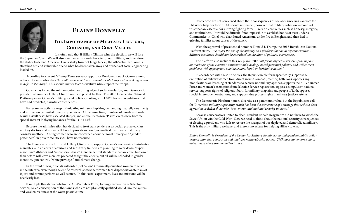

# **Elaine Donnelly**

#### **The Importance of Military Culture, Cohesion, and Core Values**

It is often said that if Hillary Clinton wins the election, we will lose the Supreme Court. We will also lose the culture and character of our military, and therefore the ability to defend America. Like a shaky tower of Jenga blocks, the All-Volunteer Force is stretched out and vulnerable due to what has been taken away and burdens of social engineering loaded on.

According to a recent *Military Times* survey, support for President Barack Obama among active-duty subscribers has *"tanked"* because of *"controversial social changes while seeking to rein in defense spending."* This should matter to conservatives who support the troops.

Obama has forced the military onto the cutting edge of social revolution, and Democratic presidential nominee Hillary Clinton wants to push it further. The [2016 Democratic National](https://www.demconvention.com/wp-content/uploads/2016/07/Democratic-Party-Platform-7.21.16-no-lines.pdf)  [Platform](https://www.demconvention.com/wp-content/uploads/2016/07/Democratic-Party-Platform-7.21.16-no-lines.pdf) praises Obama's military/social policies, starting with LGBT law and regulations that have had predicted, harmful consequences.

For example, activists keep intimidating military chaplains, demanding that religious liberty and expression be limited to worship services. At the same time, numbers of female and male sexual assault cases have escalated steeply, and annual Pentagon "Pride" events have become special-interest lobbying bonanzas for the LGBT Left.

Because the administration has decided to treat transgenders as a special, protected class, military doctors and nurses will have to provide or condone medical treatments that many consider unethical. Young women who are concerned about personal privacy and "gender pretenders" in private facilities will have no recourse.

The Democratic Platform and Hillary Clinton also support Obama's women-in-the-infantry mandates, and an army of advisors and sensitivity trainers are planning to wear down "hypermasculine" attitudes and "unconscious bias." Gender-neutral standards that are equal but lower than before will leave men less prepared to fight the enemy, but all will be schooled in gender identities, gun control, "white privilege," and climate change.

In the event of war, officials will order (not "allow") minimally-qualified women to serve in the infantry, even though scientific research shows that women face disproportionate risks of injury and cannot perform as well as men. In this social experiment, lives and missions will be needlessly lost.

If multiple threats overwhelm the All-Volunteer Force, forcing reactivation of Selective Service, co-ed conscription of thousands who are not physically qualified would jam the system and weaken readiness at the worst possible time.

People who are not concerned about these consequences of social engineering can vote for Hillary or help her to win. All should remember, however that military cohesion — bonds of trust that are essential for a strong fighting force — rely on core values such as honesty, integrity, and truthfulness. It would be difficult if not impossible to establish bonds of trust under a Commander-in-Chief who abandoned Americans under fire in Benghazi and then lied to grieving families about causes of the attack.

With the approval of presidential nominee Donald J. Trump, the [2016 Republican National](https://www.cmrlink.org/articles/print/37762?author=0&image=0&domain=0)  [Platform](https://www.cmrlink.org/articles/print/37762?author=0&image=0&domain=0) states, *"We reject the use of the military as a platform for social experimentation . . . Military readiness should not be sacrificed on the altar of political correctness."*

The platform also includes this key plank: *"We call for an objective review of the impact on readiness of the current Administration's ideology-based personnel policies, and will correct problems with appropriate administrative, legal, or legislative action."*

In accordance with these principles, the Republican platform [specifically supports](https://www.cmrlink.org/articles/print/37762?author=0&image=0&domain=0) the exemption of military women from direct ground combat (infantry) battalions, opposes any modifications or lessening of standards to achieve nonmilitary agendas, supports the All-Volunteer Force and women's exemption from Selective Service registration, opposes compulsory national service, supports rights of religious liberty for military chaplains and people of faith, opposes special interest demonstrations, and supports due process rights in military justice systems.

The Democratic Platform honors diversity as a paramount value, but the Republicans call for *"American military superiority, which has been the cornerstone of a strategy that seeks to deter aggression or defeat those who threaten our vital national security interests."* 

Because conservatives united to elect President Ronald Reagan, we did not have to watch the Soviet Union win the Cold War. Now we need to think about the national security consequences of electing a president who fails to restore the strength of our depleted and demoralized military. This is the only military we have, and there is no excuse for helping Hillary to win.

*Elaine Donnelly is President of the Center for Military Readiness, an independent public policy organization that reports on and analyzes military/social issues. CMR does not endorse candidates; these views are the author's own.*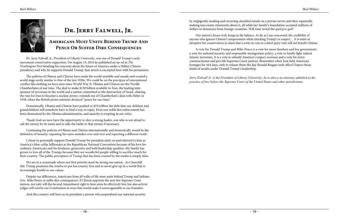

#### **Americans Must Unite Behind Trump And**  PENCE OR SUFFER DIRE CONSEQUENCES

# **Dr. Jerry Falwell, Jr.**

Dr. Jerry Falwell, Jr., President of Liberty University, was one of Donald Trump's early movement conservative supporters. On August 19, 2016 he published an op-ed in *The Washington Post* detailing his concerns about the future of America under a Hillary Clinton presidency and why he supports Donald Trump, that article is excerpted here with his permission.

The policies of Obama and Clinton have made the world unstable and unsafe and created a world stage eerily similar to that of the late 1930s. We could be on the precipice of international conflict like nothing we have seen since World War II. Obama and Clinton are the Neville Chamberlains of our time. The deal to make \$150 billion available to Iran, the leading state sponsor of terrorism in the world and a nation committed to the destruction of Israel, clearing the way for Iran to become a nuclear power, reminds me of Chamberlain's deal with Hitler in 1938, when the British prime minister declared "peace for our time."

Domestically, Obama and Clinton have pushed to \$19 trillion the debt that our children and grandchildren will somehow have to find a way to repay. Even our noble law enforcement has been demonized by the Obama administration, and anarchy is erupting in our cities.

Thank God we now have the opportunity to elect a strong leader, one who is not afraid to call the enemy by its name and to take the battle to that enemy if necessary.

Continuing the policies of Obama and Clinton internationally and domestically would be the definition of insanity: repeating the same mistakes over and over and expecting a different result.

I chose to personally support Donald Trump for president early on and referred to him as America's blue-collar billionaire at the Republican National Convention because of his love for ordinary Americans and his kindness, generosity and bold leadership qualities. My family has grown to love all of the Trumps because they are wonderful people willing to sacrifice much for their country. The public perception of Trump that has been created by the media is simply false.

We are at a crossroads where our first priority must be saving our nation. As Churchill did, Trump possesses the resolve to put his country first and to never give up in a world that is increasingly hostile to our values.

Despite our differences, Americans from all walks of life must unite behind Trump and Indiana Gov. Mike Pence or suffer dire consequences. If Clinton appoints the next few Supreme Court justices, not only will the Second Amendment right to bear arms be effectively lost, but also activist judges will rewrite our Constitution in ways that would make it unrecognizable to our founders.

And this country will have as its president a person who jeopardized our national security

by negligently sending and receiving classified emails on a private server and then repeatedly making inaccurate statements about it, all while her family's foundation accepted millions of dollars in donations from foreign countries. Will time reveal the *quid pro quo*?

Our nation's future truly hangs in the balance. As far as I am concerned, the credibility of anyone who ignores Clinton's temperament while attacking Trump's is suspect… It is naive or deceptive for conservatives to claim that a write-in vote or a third-party vote will not benefit Clinton.

A vote for Donald Trump and Mike Pence is a vote for more freedom and less government, a vote for national security and responsible immigration policy, a vote to finally fight radical Islamic terrorism. It is a vote to rebuild America's respect overseas and a vote for strictconstructionist and pro-life Supreme Court justices. Remember when Iran held American hostages for 444 days, only to release them the day Ronald Reagan took office? Expect those kinds of results under Donald Trump's leadership.

*Jerry Falwell Jr. is the President of Liberty University, he is also a an attorney admitted to the practice of law before the Supreme Court of the United States and other jurisdictions.*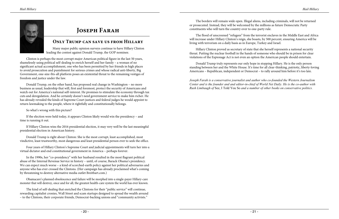

# **Joseph Farah**

#### **Only Trump can save us from Hillary**

Many major public opinion surveys continue to have Hillary Clinton leading the contest against Donald Trump, the GOP nominee.

Clinton is perhaps the most corrupt major American political figure in the last 50 years, shamelessly using political self-dealing to enrich herself and her family – a woman of no significant actual accomplishment, one who has been permitted by her friends in high places to avoid prosecution and punishment for serious crimes and whose radical anti-liberty, Big Government, one-size-fits-all platform poses an existential threat to the remaining vestiges of freedom and justice under the law.

Donald Trump, on the other hand, has proposed real change in Washington – no more business as usual, leadership that will, first and foremost, protect the security of Americans and watch out for America's national self-interest. He promises to stimulate the economy through tax cuts and deregulation. And he certainly doesn't need government service to make him richer. He has already revealed the kinds of Supreme Court justices and federal judges he would appoint to return lawmaking to the people, where it rightfully and constitutionally belongs.

#### So what's wrong with this picture?

If the election were held today, it appears Clinton likely would win the presidency – and time is running it out.

If Hillary Clinton wins the 2016 presidential election, it may very well be the last meaningful presidential election in American history.

Donald Trump is right about Clinton: She is the most corrupt, least accomplished, most vindictive, least trustworthy, most dangerous and least presidential person ever to seek the office.

Four years of Hillary Clinton's Supreme Court and judicial appointments will turn her into a virtual dictator and end constitutional government in America – perhaps forever.

In the 1990s, her "co-presidency" with her husband resulted in the most flagrant political abuse of the Internal Revenue Service in history – until, of course, Barack Obama's presidency. We can expect much worse – a kind of scorched-earth policy against her political adversaries and anyone who has ever crossed the Clintons. (Her campaign has already proclaimed what's coming by threatening to destroy alternative media outlet Breitbart.com.)

Obamacare's planned obsolescence and failure will be morphed into a single-payer Hillary-care monster that will destroy, once and for all, the greatest health-care system the world has ever known.

The kind of self-dealing that enriched the Clintons for their "public service" will continue, rewarding capitalist cronies, Wall Street and scam startups designed to spread the wealth around – to the Clintons, their corporate friends, Democrat-backing unions and "community activists."

The borders will remain wide open. Illegal aliens, including criminals, will not be returned or prosecuted. Instead, they will be welcomed by the millions as future Democratic Party constituents who will turn the country over to one-party rule.

The flood of unscreened "refugees" from the terrorist enclaves in the Middle East and Africa will increase under Hillary Clinton's reign, she boasts, by 500 percent, ensuring America will be living with terrorism on a daily basis as in Europe, Turkey and Israel.

Hillary Clinton proved as secretary of state that she herself represents a national security threat. Putting the nuclear football in the hands of someone who should be in prison for clear violations of the Espionage Act is not even an option the American people should entertain.

Donald Trump truly represents our only hope in stopping Hillary. He is the only person standing between her and the White House. It's time for all clear-thinking, patriotic, liberty-loving Americans – Republican, independent or Democrat – to rally around him before it's too late.

*Joseph Farah is a conservative journalist and author who co-founded the Western Journalism Center and is the founder and and editor-in-chief of World Net Daily. He is the co-author with Rush Limbaugh of* See, I Told You So *and a number of other books on conservative politics.*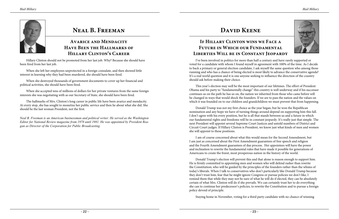



# **Neal B. Freeman**

### **Avarice and Mendacity Have Been the Hallmarks of Hillary Clinton's Career**

Hillary Clinton should not be promoted from her last job. Why? Because she should have been fired from her last job.

When she left her employees unprotected in a foreign consulate, and then showed little interest in learning why they had been murdered, she should have been fired.

When she destroyed thousands of government documents to cover up her financial and political activities, she should have been fired.

When she accepted tens of millions of dollars for her private ventures from the same foreign interests she was negotiating with as our Secretary of State, she should have been fired.

The hallmarks of Mrs. Clinton's long career in public life have been avarice and mendacity. At every stop, she has sought to monetize her public service and then lie about what she did. She should be the last woman President, not the first.

*Neal B. Freeman is an American businessman and political writer. He served as the Washington Editor for National Review magazine from 1978 until 1981. He was appointed by President Reagan as Director of the Corporation for Public Broadcasting.*

# **David Keene**

## **If Hillary Clinton wins we Face a Future in Which our Fundamental Liberties Will be in Constant Jeopardy**

I've been involved in politics for more than half a century and have rarely supported or voted for a candidate with whom I found myself in agreement with 100% of the time. As I decide to back a primary or general election candidate, I ask myself the same question who among those running and who has a chance of being elected is most likely to advance the conservative agenda? It's a real world question and it is one anyone seeking to influence the direction of the country should ask before making their choice.

This year's election may well be the most important of our lifetimes. The effort of President Obama and his party to "fundamentally change" this country is well underway and if his successor continues us on the path he has us on, the nation we inherited from those who came before will be changed in ways that would shock the founders. If we are to pass the nation and the values on which it was founded on to our children and grandchildren we must prevent that from happening.

Donald Trump was not my first choice as the year began, but he won the Republican nomination and any hope we have of turning things around depend on supporting him this fall. I don't agree with his every position, but he is all that stands between us and a future in which our fundamental rights and freedoms will be in constant jeopardy. It's really just that simple. The next President will appoint several Supreme Court Justices and untold numbers of District and Circuit Court judges. If Hillary Clinton is President, we know just what kinds of men and women she will appoint to these positions.

I am of course concerned about what this would mean for the Second Amendment, but I am just as concerned about the First Amendment guarantees of free speech and religion and the Fourth Amendment guarantees of due process. Her appointees will have the power and inclination to rewrite the fundamental rules that have made it possible for generations of Americans to create the freest, most prosperous nation in the history of the world.

Donald Trump's election will prevent this and that alone is reason enough to support him. He is firmly committed to appointing men and women who will defend rasher than rewrite the Constitution; who will be guided by the principles of the founders rather than the whims of today's liberals. When I talk to conservatives who don't particularly like Donald Trump because they don't trust him, fear that he might ignore Congress or pursue policies we don't like, I remind them that while they may not be sure of what he will do if elected, they can be absolutely certain of what Mrs. Clinton will do if she prevails. We can certainly trust her to do everything she can to continue her predecessor's policies, to rewrite the Constitution and to pursue a foreign policy devoid of principle.

Staying home in November, voting for a third party candidate with no chance of winning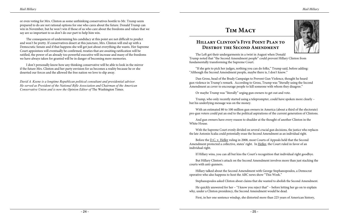



or even voting for Mrs. Clinton as some unthinking conservatives hostile to Mr. Trump seem prepared to do are not rational options for one who cares about the future. Donald Trump can win in November, but he won't win if those of us who care about the freedoms and values that we say are so important to us don't do our part to help him win.

*David A. Keene is a longtime Republican political consultant and presidential advisor. He served as President of the National Rifle Association and Chairman of the American Conservative Union and is now the Opinion Editor of The Washington Times.* 

The consequences of undermining his candidacy at this point are not difficult to predict and won't be pretty. If conservatives desert at this juncture, Mrs. Clinton will end up with a Democratic Senate and if that happens she will get just about everything she wants. Her Supreme Court appointees will eventually be confirmed, treaties that are awaiting ratification will be ratified, the power of an already too powerful executive will increase and many of the freedoms we have always taken for granted will be in danger of becoming mere memories.

I don't personally know how any thinking conservative will be able to look in the mirror if the future Mrs. Clinton and her party envision for us becomes a reality because he or she deserted our forces and the allowed the free nation we love to slip away.

# **Tim Macy**

## **Hillary Clinton's Five Point Plan to Destroy the Second Amendment**

The Left got their undergarments in a twist in August when Donald Trump noted that "the Second Amendment people" could prevent Hillary Clinton from fundamentally transforming the Supreme Court.

"If she gets to pick her judges, nothing you can do folks," Trump said, before adding: "Although the Second Amendment people, maybe there is, I don't know."

Dan Gross, head of the Brady Campaign to Prevent Gun Violence, thought he heard gun violence in Trump's remark. According to Gross, Trump was "literally using the Second Amendment as cover to encourage people to kill someone with whom they disagree."

Or maybe Trump was "literally" urging gun owners to get out and vote.

Trump, who only recently started using a teleprompter, could have spoken more clearly – but his underlying message was on the money.

With an estimated 80 to 100 million gun owners in America (about a third of the electorate) pro-gun voters could put an end to the political aspirations of the current generation of Clintons.

And gun owners have every reason to shudder at the thought of another Clinton in the White House.

With the Supreme Court evenly divided on several crucial gun decisions, the justice who replaces the late Antonin Scalia could potentially erase the Second Amendment as an individual right.

Before the D.C. v. Heller ruling in 2008, most Courts of Appeals held that the Second Amendment protected a collective, states' right. In Heller, the Court ruled in favor of an individual right.

If Hillary wins, you can all but kiss the Court's recognition that individual right goodbye.

But Hillary Clinton's attack on the Second Amendment involves more than just stacking the courts with anti-gunners.

Hillary talked about the Second Amendment with George Stephanopoulos, a Democrat operative who also happens to host the ABC news show "This Week."

Stephanopoulos asked Clinton about claims that she wanted to abolish the Second Amendment.

He quickly answered for her – "I know you reject that" – before letting her go on to explain why, under a Clinton presidency, the Second Amendment would be dead.

First, in her one sentence windup, she distorted more than 225 years of American history,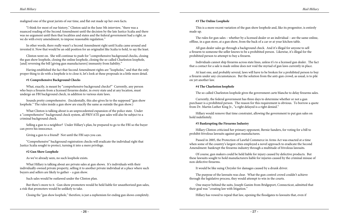maligned one of the great jurists of our time, and flat out made up her own facts.

"I think for most of our history," Clinton said in the June 5th interview, "there was a nuanced reading of the Second Amendment until the decision by the late Justice Scalia and there was no argument until then that localities and states and the federal government had a right, as we do with every amendment, to impose reasonable regulation."

Clinton went on. She will continue to push for "comprehensive background checks, closing the gun show loophole, closing the online loophole, closing the so-called Charleston loophole, [and] reversing the bill [giving gun manufacturers] immunity from liability."

In other words, there really wasn't a Second Amendment right until Scalia came around and invented it. Now that would be an odd position for an originalist like Scalia to hold, to say the least.

Having established the fact that Second Amendment rights are "loopholes," and that the only proper thing to do with a loophole is to close it, let's look at these proposals in a little more detail.

#### **#1 Comprehensive Background Checks**

What, exactly, is meant by "comprehensive background checks?" Currently, any person who buys a firearm from a licensed firearms dealer, in every state and at any location, must undergo an FBI background check, in addition to various state laws.

Sounds pretty comprehensive. (Incidentally, this also gives lie to the supposed "gun show loophole." The rules inside a gun show are exactly the same as outside the gun show.)

What Clinton is talking about is an unprecedented expansion of the police state. Under a "comprehensive" background check system, all PRIVATE gun sales will also be subject to a criminal background check.

Selling a gun to a neighbor? Under Hillary's plan, be prepared to go to the FBI so the buyer can prove his innocence.

Giving a gun to a friend? Not until the FBI says you can.

"Comprehensive" background registration checks will eradicate the individual right that Justice Scalia sought to protect, turning it into a mere privilege.

#### **#2 Gun Show Loophole**

As we've already seen, no such loophole exists.

What Hillary is talking about are private sales at gun shows. It's individuals with their individually-owned private property, selling it to another private individual at a place where such buyers and sellers are likely to gather – a gun show.

Such sales would be outlawed under the Clinton plan.

But there's more to it. Gun show promoters would be held liable for unauthorized gun sales, a risk that promoters would be unlikely to take.

Closing the "gun show loophole," therefore, is just a euphemism for ending gun shows completely.

#### **#3 The Online Loophole**

This is a more recent variation of the gun show loophole and, like its progenitor, is entirely made up.

The rules for gun sales – whether by a licensed dealer or an individual – are the same online, offline, in a gun store, at a gun show, from the back of a car or at your kitchen table.

All gun dealer sales go through a background check. And it's illegal for anyone to sell a firearm to someone the seller knows to be a prohibited person. Likewise, it's illegal for the prohibited person to attempt to buy a firearm.

Individuals cannot ship firearms across state lines, unless it's to a licensed gun dealer. The fact that a contact for a sale is made online does not void the myriad of gun laws currently in place.

At least one, and probably several, laws will have to be broken for a prohibited person to buy a firearm under any circumstances. But the solution from the anti-gun crowd, as usual, is to pile on yet another law.

#### **#4 The Charleston loophole**

The so-called Charleston loophole gives the government carte blanche to delay firearms sales.

Currently, the federal government has three days to determine whether or not a gun purchaser is a prohibited person. The reason for this requirement is obvious. To borrow a quote from Dr. Martin Luther King Jr., "a right delayed is a right denied."

Hillary would remove that time constraint, allowing the government to put gun sales on hold indefinitely.

#### **#5 Bankrupting the Firearms Industry**

Hillary Clinton criticized her primary opponent, Bernie Sanders, for voting for a bill to prohibit frivolous lawsuits against gun manufactures.

Passed in 2005, the Protection of Lawful Commerce in Arms Act was enacted at a time when some of the country's largest cities employed a novel approach to eradicate the Second Amendment: bankrupt the firearms industry through a multitude of frivolous lawsuits.

Of course, gun makers could be held liable for injury caused by defective products. But these lawsuits sought to hold manufacturers liable for injuries caused by the criminal misuse of non-defective firearms.

It would be like suing Chrysler for damages caused by a drunk driver.

The purpose of the lawsuits was clear. What the gun control crowd couldn't achieve through the legislative process, they would attempt to win in the courts.

One mayor behind the suits, Joseph Ganim from Bridgeport, Connecticut, admitted that their goal was "creating law with litigation."

Hillary has vowed to repeal that law, opening the floodgates to lawsuits that, even if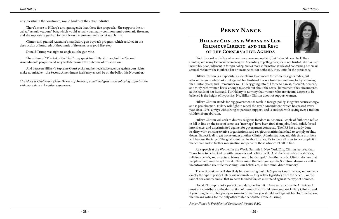

unsuccessful in the courtroom, would bankrupt the entire industry.

There's more to Hillary's anti-gun agenda than these five proposals. She supports the socalled "assault weapons" ban, which would actually ban many common semi-automatic firearms, and she supports a gun ban for people on the government's secret watch lists.

Clinton also praised Australia's mandatory gun buyback program, which resulted in the destruction of hundreds of thousands of firearms, as a good first step.

Donald Trump was right to single out the gun vote.

The author of "The Art of the Deal" may speak inartfully at times, but the "Second Amendment" people could very well determine the outcome of this election.

And between Hillary's Supreme Court picks and her legislative agenda against gun rights, make no mistake – the Second Amendment itself may as well be on the ballot this November.

*Tim Macy is Chairman of Gun Owners of America, a national grassroots lobbying organization with more than 1.5 million supporters.* 

# **Penny Nance**

#### **Hillary Clinton is Wrong on Life, Religious Liberty, and the Rest of the Conservative Agenda**

I look forward to the day when we have a woman president, but it should never be Hillary Clinton, and many Democrat women agree. According to polling data, she is not trusted. She has used incredibly poor judgment in foreign policy, and as more information is released concerning her email scandal, we know she is either a liar or incompetent (or both) and, thus, unfit for the presidency.

Hillary Clinton is a hypocrite, as she claims to advocate for women's rights today, but attacked anyone who spoke out against her husband. I was a twenty-something lobbyist during the Clinton years, and I remember well Hillary going into full force to harass, discredit, demean, and vilify each woman brave enough to speak out about the sexual harassment they encountered at the hands of her husband. For Hillary to now say that women who are victims deserve to be believed is the height of hypocrisy. No, Hillary Clinton does not support women.

Hillary Clinton stands for big government, is weak in foreign policy, is against secure energy, and is pro-abortion. Hillary will fight to repeal the Hyde Amendment, which has passed every year since 1976, always with strong bi-partisan support, and is [credited with saving](http://www.lifenews.com/2016/07/18/hyde-amendment-has-saved-over-1-million-people-from-abortion-hillary-wants-to-repeal-it/) over 1 million children from abortion.

Hillary Clinton will seek to destroy religious freedom in America. People of faith who refuse to fall in line on the issue of same-sex "marriage" have been [fired](http://www.nationalreview.com/article/431859/kelvin-cochran-christian-views-cost-atlanta-fire-chief-his-job) from jobs, [fined,](http://dailysignal.com/2016/02/23/ny-farmers-fined-13k-for-declining-to-host-a-same-sex-marriage-end-their-legal-fight/) [jailed](http://www.wsj.com/articles/federal-judge-orders-kentucky-clerks-release-from-jail-1441732788), forced into [silence](http://www.theatlantic.com/politics/archive/2014/04/mozillas-gay-marriage-litmus-test-violates-liberal-values/360156/), and [discriminated](http://www.usccb.org/issues-and-action/religious-liberty/discrimination-against-catholic-adoption-services.cfm) against for government contracts. The IRS has already done its [dirty work](http://dailysignal.com/2014/06/24/irs-admits-wrongdoing-pay-50000-leaking-marriage-groups-tax-return/) on conservative organizations, and religious charities have had to comply or shut down. Expect it all to get worse under another Clinton Administration, and this time pro-lifers will become the target. The goal is not just to abort babies; it's to force all of us to be complicit in that choice and to further marginalize and penalize those who won't fall in line.

At a [speech](https://hillaryspeeches.com/2015/04/24/women-in-the-world-summit-3/) at the Women in the World Summit in New York City, Clinton lectured that, "Laws have to be backed up with resources and political will. And deep-seated cultural codes, religious beliefs, and structural biases have to be changed." In other words, Clinton decrees that people of faith need to get over it. Never mind that we have specific Scriptural dogma as well as incontrovertible scientific reasoning. Our beliefs are, in her mind, discriminatory.

The next president will also likely be nominating multiple Supreme Court Justices, and we know exactly the type of justice Hillary will nominate — they will be legislators from the bench. For the sake of our country and all that we were founded for, we must stand against that type of nominee.

[Donald Trump](http://thehill.com/people/donald-trump) is not a perfect candidate, far from it. However, as a pro-life American, I must not contribute to the destruction of human life. I could never support Hillary Clinton, and if you disagree with her policy — woman or man — you should vote against her. In this election, that means voting for the only other viable candidate, Donald Trump.

*Penny Nance is President of Concerned Women PAC.*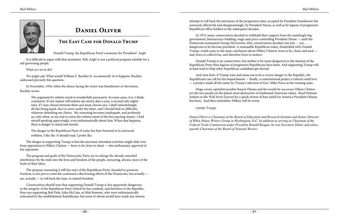

# **Daniel Oliver**

#### **The Easy Case for Donald Trump**

Donald Trump, the Republican Party's nominee for President? Argh!

It is difficult to argue with that sentiment. Still, Argh! is not a political program suitable for a self-governing people.

What *are* we to do?

We might ask, What would William F. Buckley Jr. recommend? As it happens, Buckley addressed precisely this question.

In November, 1956, when the choice facing the voters was Eisenhower or Stevenson, Buckley wrote:

The argument by relative merit is wonderfully persuasive. In some cases, it is, I think, conclusive. If one master will enslave me ninety days a year, a second only eightynine, if I may choose between them and must choose one, I shall unhesitatingly, all else being equal, elect to serve under the latter, and I should find no difficulty whatever defending my choice. My reasoning becomes inadequate, and perilously so, only when, in my zeal to stress the relative merit of the less exacting master, I find myself speaking approvingly, even enthusiastically about him. When that happens, there is danger to mind and morals.

The danger to the Republican Party of today lies bare breasted in its universal emblem, I like Ike. It should read, I prefer Ike.

The danger in supporting Trump is that the necessary attendant activities might slide over from opposition to Hillary Clinton — born to lie, born to cheat — into enthusiastic approval of her opponent.

The program and goals of the Democratic Party are to enlarge the already extended interference by the state into the lives and freedom of the people, extracting, always, more of the fruits of their labor.

The purpose (assuming it still has one) of the Republican Party, founded to promote freedom, is not just to resist the continued collectivizing efforts of the Democrats, but actually yes, actually — to roll back the state, to extend freedom.

Conservatives should note that supporting Donald Trump is less apparently dangerous to the integrity of the Republican Party (which he has crashed), and therefore to the Republic, than was supporting Bob Dole, John McCain, or Mitt Romney, who were enthusiastically welcomed by the establishment Republicans, but none of whom would have made any serious attempt to roll back the intrusions of the progressive state, accepted by President Eisenhower but nurtured, effectively and disappointingly, by President Nixon, as well as by legions of progressive Republican office holders in the subsequent decades.

In 1972, many conservatives decided to withhold their support from the numbingly biggovernment, bureaucracy-building, wage-and-price-controlling President Nixon — until the Democrats nominated George McGovern, who, conservatives decided, was just … too … dangerous to let become president. A reasonable Republican today, dissatisfied with Donald Trump, could come to the same conclusion about Hillary Clinton: born to lie, cheat, and steal and, born to collectivize, and therefore born to enslave.

Donald Trump is no conservative, but neither is he more dangerous to the mission of the Republican Party than legions of progressive Republicans have been. And supporting Trump will at least tend to help other Republican candidates get elected.

And *nota bene*: if Trump wins and turns out to be a *serious* danger to the Republic, the Republicans can call for his impeachment — finally, a constitutional project a Liberal could love — a project made all the easier by Trump's selection of Gov. Mike Pence as his running mate.

Mega-crony capitalist/socialist Barack Obama and his would-be successor Hillary Clinton are the two people on the planet most destructive of traditional American values. Read Holman Jenkins in the *Wall Street Journal* for a quick review of how awful for America President Obama has been. And then remember: Hillary will be worse.

I prefer Trump.

*Daniel Oliver is Chairman of the Board of Education and Research Institute and Senior Director of White House Writers Group in Washington, D.C. In addition to serving as Chairman of the Federal Trade Commission under President Ronald Reagan, he was Executive Editor and subsequently Chairman of the Board of National Review.*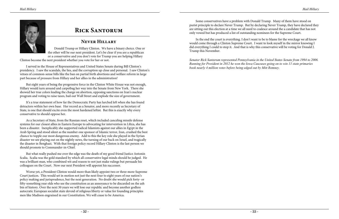

# **Rick Santorum**

#### **Never Hillary**

Donald Trump or Hillary Clinton. We have a binary choice. One or the other will be our next president. Let's be clear if you are a republican or a conservative and you don't vote for Trump you are helping Hillary

Clinton become the next president whether you vote for her or not.

I served in the House of Representatives and United States Senate during Bill Clinton's presidency. I saw the scandals, the lies, and the corruption up close and personal. I saw Clinton's vetoes of common-sense bills like the ban on partial birth abortions and welfare reform in large part because of pressure from Hillary and her allies in the administration!

But eight years of being the progressive force in the Clinton White House was not enough, Hillary would turn around and carpetbag her way into the Senate from New York. There she showed her true colors leading the charge on abortion, opposing sanctions on Iran's nuclear program and voting to raise taxes, bail out Wall Street and explode the size of government.

It's a true statement of how far the Democratic Party has lurched left when she has found detractors within her own base. Her record as a Senator, and more recently as Secretary of State, is one that should excite even the most hardened leftist. But this is exactly why every conservative to should oppose her.

As a Secretary of State, from the Russian reset, which included canceling missile defense systems for our closest allies in Eastern Europe to advocating for intervention in Libya, she has been a disaster. Inexplicably she supported radical Islamists against our allies in Egypt in the Arab Spring and stood silent as the number one sponsor of Islamic terror, Iran, crushed the best chance to topple our most dangerous enemy. Add to this the key role she played in the Syrian disaster we see playing out on the nightly news, the turning of our back on Israel, and tragically the disaster in Benghazi. With that foreign policy record Hillary Clinton is the last person we should promote to Commander-in-Chief.

But what really pushed me over the edge was the death of my good friend Justice Antonin Scalia. Scalia was the gold standard by which all conservative legal minds should be judged. He was a brilliant man, who combined wit and reason to not just make rulings but persuade his colleagues on the Court. Now our next President will appoint his successor.

Worse yet, a President Clinton would more than likely appoint two or three more Supreme Court justices. This would set in motion not just the next four to eight years of our nation's policy making and jurisprudence, but the next generation. No doubt she would pick forty- or fifty-something year olds who see the constitution as an annoyance to be discarded on the ash bin of history. Over the next 30 years we will lose our republic and become another godless autocratic European socialist state devoid of religious liberty or value for founding principles men like Madison engrained in our Constitution. We will cease to be America.

Some conservatives have a problem with Donald Trump. Many of them have stood on purist principle to declare Never Trump. But by declaring Never Trump, they have declared they are sitting out this election at a time we all need to coalesce around the a candidate that has not only vowed but has produced a list of outstanding nominees for the Supreme Court.

In the end the court is everything. I don't want to be to blame for the wreckage we all know would come through a Clinton Supreme Court. I want to look myself in the mirror knowing I did everything I could to stop it. And that is why this conservative will be voting for Donald J. Trump this November.

*Senator Rick Santorum represented Pennsylvania in the United States Senate from 1994 to 2006. Running for President in 2012 he won the Iowa Caucuses going on to win 11 state primaries book nearly 4 million votes before being edged out by Mitt Romney.*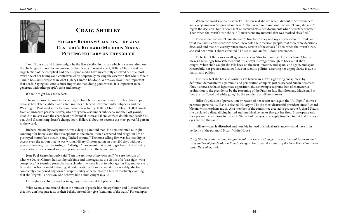

# **Craig Shirley**

### **Hillary Rodham Clinton, the 21st Century's Richard Milhous Nixon. Putting Hillary on the Couch**

Two Thousand and Sixteen might be the first election in history which is a referendum on the challenger and not the incumbent or their legacy. To great effect, Hillary Clinton and her large faction of the complicit and often supine media have successfully absolved her of almost every one of her failings and controversies by perpetually making the assertion that what Donald Trump has said is worse than what Hillary Clinton has done. Words are now more important that deeds. Saying you care is more important than doing good works. It is important to be generous with other people's time and money.

It's time to get back to the facts.

The most powerful man in the world, Richard Nixon, walked away from his office in part because he deleted eighteen and a half minutes of tape which were under subpoena and the Washington Post went into a two-and-a-half-year frenzy. Hillary Clinton deleted 30,000 emails from an unsecure personal server, while they were also under subpoena and the Post yawns, unable to muster even the charade of professional interest. Liberal corrupt double standard? You bet. And if something doesn't change soon, Hillary is about to become the most powerful person in the world.

Richard Nixon, by every metric, was a deeply paranoid man. He demonstrated outright contempt for liberals and their sycophants in the media. When cornered and caught in lies he portrayed himself as a victim, being "kicked around." The most telling flaw was his inability to accept even the notion that he was wrong. Hillary Clinton, going on over 200 days without a press conference, manufacturing an "alt-right" movement that is out to get her and dismissing every criticism as personal seems to place her well down the Nixonian path.

Jean-Paul Sartre famously said "I am the architect of my own self." We are the sum of what we do, yet Clinton has cast herself time and time again as the victim of a "vast right-wing conspiracy." A seeming paranoia that a clandestine force is out to sabotage her life, and yet every time she has been caught behaving, at best questionably and at worst dishonorably, she has completely abandoned any form of responsibility or accountably. Only retroactively claiming that she "regrets" a decision. She behaves like a child caught in a lie.

Or maybe as a child, even her imaginary friends wouldn't play with her.

What we must understand about the mindset of people like Hillary Cinton and Richard Nixon is that they don't espouse facts or their beliefs, instead they give "iterations of the truth." For example;

When the email scandal first broke: Clinton said she did what I did out of "convenience" and everything was "approved and legal." Then when we found out that wasn't true, she said "I regret the decision" but "I never sent or received classified documents while Secretary of State." Then when that wasn't true she said "I never sent any material that was marked classified."

Then when that wasn't true she said "Director Comey said my answers were truthful, and what I've said is consistent with what I have told the American people, that there were decisions discussed and made to classify retroactively certain of the emails." Then, when that wasn't true, she said her brain "I short-circuited." This is Nixonian for "I don't remember."

To be fair, I think we can all agree she's been "short-circuiting": for some time. Clinton makes a seemingly firm statement but it is always just vague enough to back out if she's caught. When she's caught she falls back on the next iteration, and again, and again, and again. Meanwhile, her proxies and allies focus on identity politics, asserting her unpopularity is due to sexism and politics.

The mere fact she has and continues to believe in a "vast right wing conspiracy" by definition demonstrates a paranoid and persecution complex, just as Richard Nixon possessed. Plus, it shows she hates legitimate opposition, thus showing a supreme lack of character, a prohibition to the presidency by the reasoning of the Framers Jay, Hamilton and Madison. But they are just "dead old white guys," by the sophistry of Hillary's lovers.

Hillary's delusion of persecution by reason of her recent rant again the "Alt Right" shows a paranoid personality. If she is elected, Hillary will be the most distrustful president since Richard Nixon, which explains much. As a member of the committee created to prosecute Richard Nixon, she displayed a disqualifying hatred and unethical behavior that got her fired. Shakespeare said the eyes are the windows to the soul. Nixon had the eyes of a deeply troubled individual. Hillary's eyes are just the same.

 Hillary—deeply disturbed and possibly in need of clinical assistance—would have fit in perfectly in the paranoid Nixon White House.

*Craig Shirley is the Visiting Reagan Scholar at Eureka College, is a presidential historian and is the author of four books on Ronald Reagan. He is also the author of the New York Times bestseller December, 1941.*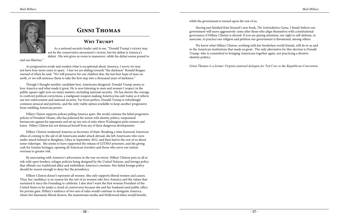

# **Ginni Thomas**

#### **Why Trump?**

As a national security leader said to me, "Donald Trump's victory may not be the conservative movement's victory, but his defeat is America's defeat. His win gives us room to maneuver, while his defeat seems poised to

end our liberties."

As progressives erode and weaken what is exceptional about America, I worry we may not have four more years to spare. I fear we are sliding towards "the darkness" Ronald Reagan warned of when he said, "We will preserve for our children this, the last best hope of man on earth, or we will sentence them to take the first step into a thousand years of darkness."

Though I thought another candidate best, Americans disagreed. Donald Trump seems to love America and what made it great. He is now listening to men and women I respect in the public square right now on many matters, including national security. He has shown the courage to confront political correctness, a malignant weapon making America less safe today as it infects our law enforcement and national security. Far from perfect, Donald Trump is refreshingly common sensical and patriotic, and the only viable option available to keep another progressive from wielding American power.

Hillary Clinton supports policies pulling America apart. She would continue the failed progressive policies of President Obama, who has polarized the nation with identity politics, weaponized bureaucrats against his opponents and set up two sets of rules where Washington picks winners and losers. Hillary Clinton has not distanced herself from any of these dangerous developments.

Hillary Clinton weakened America as Secretary of State. Breaking a time-honored American ethos of coming to the aid of all Americans under attack abroad, she left Americans who were under attack behind in Benghazi, Libya in September 2012, and then lied to the rest of us about some videotape. She seems to have supported the release of GITMO prisoners, and the giving cash for Iranian hostages, opening all American travelers and those who serve our nation overseas to greater risk.

By associating with America's adversaries in the war on terror, Hillary Clinton puts us all at risk with open borders, refugee policies being designed by the United Nations, and foreign policy that offends our traditional allies and emboldens America's enemies. Her failed foreign policy should be reason enough to deny her the presidency.

Hillary Clinton doesn't represent all women. She only supports liberal women and causes. Thus, her candidacy is no reason for the rest of us women who love America and the values that sustained it since the Founding to celebrate. I also don't want the first woman President of the United States to be under a cloud of controversy because she and her husband used public office for private gain. Hillary's embrace of two sets of rules would continue to denigrate America, where her limousine liberal donors, the mainstream media and Hollywood elites would benefit,

while the government is turned upon the rest of us.

Having just finished Kim Strassel's new book, *The Intimidation Game*, I firmly believe our government will more aggressively come after those who align themselves with constitutional governance if Hillary Clinton is elected. If you are paying attention, our right to self-defense, to associate, to practice our religion and petition our government is threatened, among others.

We know what Hillary Clinton, working with her borderless world friends, will do to us and to the American institutions that made us great. The only alternative for this election is Donald Trump, who is committed to bringing Americans together again, not practicing a divisive identity politics.

*Ginni Thomas is a former Virginia national delegate for Ted Cruz to the Republican Convention*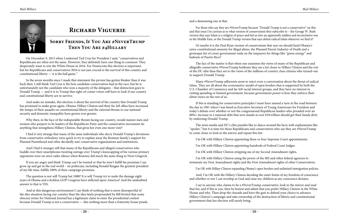

# **Richard Viguerie**

On December 9, 2015 when I endorsed Ted Cruz for President I said, "conservatives and Republicans are often not the same. However, they definitely have one thing in common: They desperately want to win the White House in 2016. For Democrats this election is important, but for Republicans and conservatives 2016 is not just crucial to the survival of this country and constitutional liberty  $-$  it is the ball game."

#### **Sorry Friends, If You Are #NeverTrump Then You Are #4Hillary**

In the seven months since I made that statement the picture has gotten bleaker than it was back then. I still think Ted Cruz is the best candidate conservatives had in the race, but he is unfortunately not the candidate who won a majority of the delegates – that distinction goes to Donald Trump — and it is to Trump that right-of-center voters will have to look if our country and constitutional liberty are to survive.

And make no mistake, this election *is* about the survival of the country that Donald Trump has promised to make great again. Obama, Hillary Clinton and their far-left allies have increased the tempo of their assaults on constitutional liberty and the external threats to our national security and domestic tranquility have grown ever greater.

Why then, in the face of the indisputable threats facing our country, would mature men and women who purport to be leaders of the Republican Party and the conservative movement do anything that strengthens Hillary Clinton, that gives her even one more vote?

I find it very strange that many of the same individuals who decry Donald Trump's deviations from conservative orthodoxy were quick to try to explain away the Romney family's support for Planned Parenthood and other decidedly anti-conservative organizations and institutions.

And I find it stranger still that many of the Republicans and alleged conservatives who huddle over their smartphones tweeting outrage over Trump's kneecapping of his various primary opponents were on strict radio silence when Romney did much the same thing to Newt Gingrich.

If you are angry and think Trump can't be trusted or that he won't fulfill his promises I say grow up and get in the real world – no politician, including Ronald Reagan the greatest president of my life time, fulfills 100% of their campaign promises.

The question is not will Trump bat 1000? It is will Trump try to undo the damage eight years of Obama and a feckless GOP Congress have inflicted upon America? And the undoubted answer to that is YES.

And in this dangerous environment I can think of nothing that is more disrespectful of the dire situation facing our country than the idea lately propounded by Bill Kristol that some obscure writer for National Journal has a legitimate claim to enter the presidential contest because Donald Trump is not a conservative — this nothing more than a fraternity house prank, and a demeaning one at that.

For those who say they are #NeverTrump because "Donald Trump is not a conservative" on this and that issue I'm curious as to what version of conservatism they subscribe to – the George W. Bush version that says Islam is a religion of peace and led us into an apparently endless and inconclusive war in the Middle East, or the Donald Trump version that says defeat radical Islam wherever we find it?

Or maybe it is the Paul Ryan version of conservatism that says we should fund Obama's extra-constitutional amnesty for illegal aliens, the Planned Parent Industry of Death and a grotesque list of crony government raids on the taxpayers for things like "green energy" and bailouts of Puerto Rico?

The fact of the matter is that when one examines the views of many of the Republican and allegedly conservative #NeverTrump holdouts they are a lot closer to Hillary Clinton and the rest of the DC elite than they are to the views of the millions of country class citizens who turned-out to support Donald Trump.

Many #NeverTrump adherents seem to reject even a conversation about the threat of radical Islam. They are all about the econometric model of open borders that is supported by both the U.S. Chamber of Commerce and far-left racial interest groups, and they have no interest in cutting spending or limited government, because government power is how they enforce their elitist views on the rest of us.

If this is standing for conservative principles I must have missed a turn in the road between the day in 1961 when I was hired as Executive Secretary of Young Americans for Freedom and today's debate over whether or not the congressional Republican leaders who presided over an 80%+ increase in a national debt that now stands at over \$18 trillion should get their hands dirty by endorsing Donald Trump.

The news media and DC's elite pundits like to dance around the facts with euphemisms like "spoiler," but it is time for those Republicans and conservatives who say they are #NeverTrump to come clean; to look in the mirror and repeat this list:

I'm OK with Hillary Clinton appointing hundreds of Federal Court Judges.

I'm OK with Hillary Clinton stripping me of my Second Amendment rights.

- I'm OK with Hillary Clinton appointing three or four Supreme Court appointments.
	-
	-
- I'm OK with Hillary Clinton using the power of the IRS and other federal agencies to terminate my First Amendment rights and the First Amendment rights of other Conservatives.
	- I'm OK with Hillary Clinton expanding Obama's open borders and unlimited immigration policies.
- And, I'm OK with the Hillary Clinton deciding the outer limits of my freedom of conscience and whether or not I can worship as God and raise my children as my conscience dictates.

I say to anyone who claims to be a #NeverTrump conservative, look in the mirror and read that list, and if this is you, then be honest and admit that you prefer Hillary Clinton in the White House and why. Then drop the charade and have the guts to defend your choice to advance Hillary Clinton's campaign and take ownership of the destruction of liberty and constitutional government that her election will surely bring.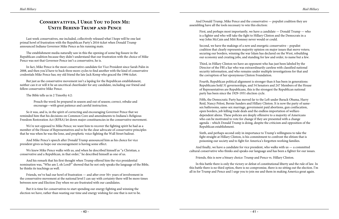## **Conservatives, I Urge You to Join Me: Unite Behind Trump and Pence**

Last week conservatives, me included, collectively released what I hope will be one last primal howl of frustration with the Republican Party's 2016 ticket when Donald Trump announced Indiana Governor Mike Pence as his running mate.

The establishment media naturally saw in this the opening of some big fissure in the Republican coalition because they didn't understand that our frustration with the choice of Mike Pence was not that Governor Pence isn't a conservative, he is.

In fact, Mike Pence is the most conservative candidate for Vice President since Sarah Palin in 2008, and then you'd have to back three more cycles to find another with the kind of conservative credentials Mike Pence has; my old friend the late Jack Kemp who graced the 1996 ticket.

But just as the conservative movement isn't a lapdog for the Republican establishment, neither can it or will it be an uncritical cheerleader for any candidate, including our friend and fellow conservative Mike Pence.

The Bible tells us in 2 Timothy 4:2:

Preach the word; be prepared in season and out of season; correct, rebuke and encourage—with great patience and careful instruction.

So it was, and is, in the spirit of correcting and encouraging Governor Pence that we reminded him that his decisions on Common Core and amendments to Indiana's Religious Freedom Restoration Act (RFRA) let down major constituencies in the conservative movement.

We're not opposed to Mike Pence; we want him to recover the fighting spirit he had as a member of the House of Representatives and to be the clear advocate of conservative principles that he was when he was the lone, and prophetic voice fighting the Wall Street bailout.

And Mike Pence's speech after Donald Trump announced him as his choice for vice president gives us hope our encouragement is having some effect.

We knew Mike Pence walks with us, and when he described himself as "a Christian, a conservative and a Republican, in that order," he described himself as one of us.

And his remark that his first thought when Trump offered him the vice presidential nomination was, "Who am I, oh Lord?" showed that he not only speaks the language of the Bible, he thinks its teachings as well.

Friends, we've had our howl of frustration — and after over 50+ years of involvement in the conservative movement at the national level I can say with certainty there will be more times between now and Election Day when we are frustrated with our candidates.

But it is time for conservatives to start spending our energy fighting and winning the election we have, rather than wasting our time and energy wishing for one that is not to be.

And Donald Trump, Mike Pence and the conservative — populist coalition they are assembling have all the tools necessary to win this election:

First, and perhaps most importantly, we have a candidate — Donald Trump — who is a fighter and who will take the fight to Hillary Clinton and the Democrats in a way John McCain and Mitt Romney never would or could.

Second, we have the makings of a new and energetic conservative – populist coalition that clearly represents majority opinion on major issues that move voters; securing our borders, winning the war Islam has declared on the West, rebuilding our economy and creating jobs, and standing for law and order, to name but a few.

Third, in Hillary Clinton we have an opponent who has just been labeled by the Director of the FBI a liar who was extraordinarily careless with classified national security information, and who remains under multiple investigations for that and the corruption of her eponymous Clinton Foundation.

Fourth, Republican political alignment is stronger than it has been in generations: Republicans hold 31 governorships, and 54 Senators and 247 Members of the House of Representatives are Republicans, this is the strongest the Republican national party has been since the 1929-1931 election cycle.

Fifth, the Democratic Party has moved far to the Left under Barack Obama, Harry Reid, Nancy Pelosi, Bernie Sanders and Hillary Clinton. It is now the party of samesex bathrooms, same-sex marriage, government paid abortions, gun confiscation, open borders, job killing trade deals and the endless importation of welfaredependent aliens. These policies are deeply offensive to a majority of Americans who can be motivated to vote for change if they are presented with a change agenda – which Donald Trump is doing, despite the criticism and opposition of the Republican establishment.

Sixth, and perhaps second only in importance to Trump's willingness to take the fight straight at Hillary Clinton, is his commitment to confront the elitism that is poisoning our society and to fight for America's forgotten working families.

And finally, we have a candidate for vice president, who walks with us — a committed cultural conservative who thinks and speaks our language and has been a fighter for our issues.

Friends, this is now a binary choice: Trump and Pence vs. Hillary Clinton.

In this battle there is only the victory or defeat of constitutional liberty and the rule of law. In this battle there is no third option, there is no compromise, there is no sitting out the election. I'm all in for Trump and Pence and I urge you to join me and them in making America great again.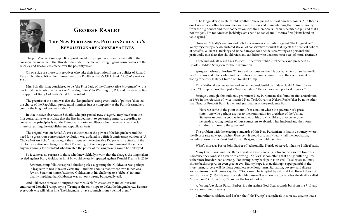

# **George Rasley**

## **The New Puritans vs. Phyllis Schlafly's Revolutionary Conservatives**

The post-Convention Republican presidential campaign has exposed a stark rift in the conservative movement that threatens to undermine the hard-fought gains conservatives of the Buckley and Reagan eras made over the past fifty years.

On one side are those conservatives who take their inspiration from the politics of Ronald Reagan, but the spirit of their movement from Phyllis Schlafly's 1964 classic "*A Choice Not An Echo*."

Mrs. Schlafly, long-considered to be "the First Lady of the Conservative Movement" wrote her initially self-published attack on "the kingmakers" in Washington, D.C and the state capitals in support of Barry Goldwater's bid for president.

The premise of the book was that the "kingmakers" using every trick of politics "dictated the choice of the Republican presidential nominee just as completely as the Paris dressmakers control the length of women's skirts."

In that incisive observation Schlafly, who just passed away at age 92, may have been the first conservative to articulate that the first impediment to governing America according to conservative principles is not the Democratic Party and liberals, but the entrenched special interests running the establishment Republican Party.

The original version Schlafly's 1964 indictment of the power of the kingmakers and the need for a grassroots conservative revolution was updated in a fiftieth anniversary edition of "A Choice Not An Echo" that brought the critique of the destructive DC power structure and the call for revolutionary change into the  $21^{st}$  century, but one key premise remained the same – anyone running for president who threated the power of the kingmakers would be destroyed.

These individuals reach back to such 19<sup>th</sup> century public intellectuals and preachers as Charles Haddon Spurgeon for their inspiration.

So it came as no surprise to those who knew Schlafly's work that the charges the kingmakers leveled against Barry Goldwater in 1964 would be eerily repeated against Donald Trump in 2016:

Scranton camp followers spread shocking tales suggesting that Goldwater was perhaps in league with neo-Nazis in Germany – and this about a man whose own father was Jewish. Scranton himself attacked Goldwater; in his challenge to a "debate" in tones plainly implying that Goldwater was not only wrong but actually evil.

And it likewise came as no surprise that Mrs. Schlafly was an early and enthusiastic endorser of Donald Trump, saying "Trump is the only hope to defeat the kingmakers… Because everybody else will fall in line. The kingmakers have so much money behind them."

"The kingmakers," Schlafly told Breitbart, "have picked our last bunch of losers. And there's one loser after another because they were more interested in maintaining their flow of money from the big donors and their cooperation with the Democrats—their bipartisanship—and that's not my goal. I'm for America [Schlafly slams hand on table] and America first [slams hand on table again]."

However, Schlafly's analysis and calls for a grassroots revolution against "the kingmakers" is loudly rejected by a newly surfaced stream of conservative thought that rejects the practical politics of Schalfly, William F. Buckley and Ronald Reagan for one that sees voting as a personal and profoundly moral act that should reject any candidate who does not meet a test of moral rectitude.

Sprugeon, whose aphorism "Of two evils, choose neither" is posted widely on social media by Christians and others who find themselves in a moral conundrum at the very thought of voting for either Hillary Clinton or Donald Trump.

Thus National Review writer and erstwhile presidential candidate David A. French can tweet, "Trump is more than just a "bad candidate." He's a moral and political disgrace."

Strangely enough, this suddenly prominent New Puritanism also found its first articulation in 1964 in the rejection of twice-married New York Governor Nelson Rockefeller by none other than Senator Prescott Bush, father and grandfather of the presidents Bush:

Have we come to the point in our life as a nation where the governor of a great state—one who perhaps aspires to the nomination for president of the United States—can desert a good wife, mother of his grown children, divorce her, then persuade a young mother of four youngsters to abandon her husband and their four children and marry the governor?

The problem with the exacting standards of this New Puritanism is that in a country where the divorce rate now approaches 50 percent it would disqualify nearly half the population, including conservative President Ronald Reagan, from public service.

What's more, as Pastor John Barber of Jacksonville, Florida observed, it has no Biblical basis.

Many Christians, said Rev. Barber, wish to avoid choosing between the lesser of two evils is because they confuse an evil with a wrong. An "evil" is something that brings suffering. Evil is therefore broader than a wrong. For example, my back pain is an evil. To alleviate it, I may choose back surgery, an even greater evil. But my hope is that, although super painful in the short-term, surgery will facilitate complete relief long-term. Starvation, poverty, and disease, are also forms of evil. James says that "God cannot be tempted by evil, and He Himself does not tempt anyone" (1:13). He means we shouldn't use evil as an excuse to sin. Also, the devil is called "the evil one" (1 John 5:19). So we see the breadth of evil.

A "wrong", explains Pastor Barber, is a sin against God. Steal a candy bar from the 7-11 and you've committed a wrong.

I am rather confident, said Barber, that "No Trump" evangelicals incorrectly assume that a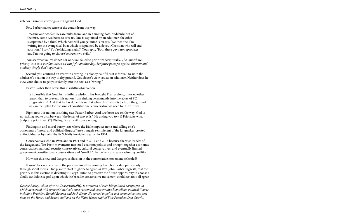vote for Trump is a wrong—a sin against God.

Rev. Barber makes sense of the conundrum this way:

Imagine our two families are miles from land in a sinking boat. Suddenly, out of the mist, come two boats to save us. One is captained by an adulterer; the other is captained by a thief. Which boat will you get into? You say, "Neither one. I'm waiting for the evangelical boat which is captained by a devout Christian who will end abortion." I say, "You're kidding, right?" You reply, "Both these guys are reprobates and I'm not going to choose between two evils."

You see what you've done? For one, you failed to prioritize scripturally. *The immediate priority is to save our families so we can fight another day. Scripture passages against thievery and adultery simply don't apply here.*

Second, you confused an evil with a wrong. As bloody painful as it is for you to sit in the adulterer's boat on the way to dry ground, God doesn't view you as an adulterer. Neither does he view your choice to get your family into the boat as a "wrong."

Pastor Barber then offers this insightful observation:

Is it possible that God, in his infinite wisdom, has brought Trump along, if for no other reason than to prevent this nation from sinking permanently into the abyss of PC progressivism? And that he has done this so that when this nation is back on the ground we can then plan for the kind of constitutional conservative we need for the future?

Right now our nation is sinking says Pastor Barber. And two boats are on the way. God is not asking you to pick between "the lesser of two evils." He asking you to: (1) Prioritize what Scripture prioritizes. (2) Distinguish an evil from a wrong.

Finding sin and moral purity tests where the Bible imposes none and calling one's opponents a "moral and political disgrace" are strangely reminiscent of the kingmaker-created anti-Goldwater hysteria Phyllis Schlafly inveighed against in 1964.

Conservatives won in 1980, and in 1994 and in 2010 and 2014 because the wise leaders of the Reagan and Tea Party movements mastered coalition politics and brought together economic conservatives, national security conservatives, cultural conservatives, and eventually limited government constitutional conservatives and "small L" libertarians to create a winning coalition.

How can this new and dangerous division in the conservative movement be healed?

It won't be easy because of the personal invective coming from both sides, particularly through social media. One place to start might be to agree, as Rev. John Barber suggests, that the priority in this election is defeating Hillary Clinton to preserve the future opportunity to choose a Godly candidate, a goal upon which the broader conservative movement could certainly all agree.

*George Rasley, editor of www.ConservativeHQ, is a veteran of over 300 political campaigns, in which he worked with some of America's most recognized conservative Republican political figures, including President Ronald Reagan and Jack Kemp. He served in policy and communications positions on the House and Senate staff and on the White House staff of Vice President Dan Quayle.*